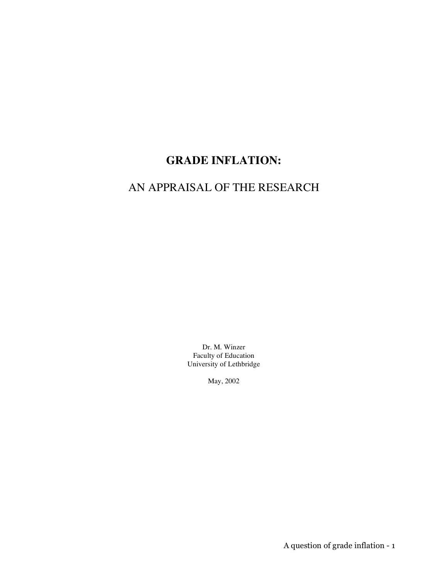# **GRADE INFLATION:**

# AN APPRAISAL OF THE RESEARCH

Dr. M. Winzer Faculty of Education University of Lethbridge

May, 2002

A question of grade inflation - 1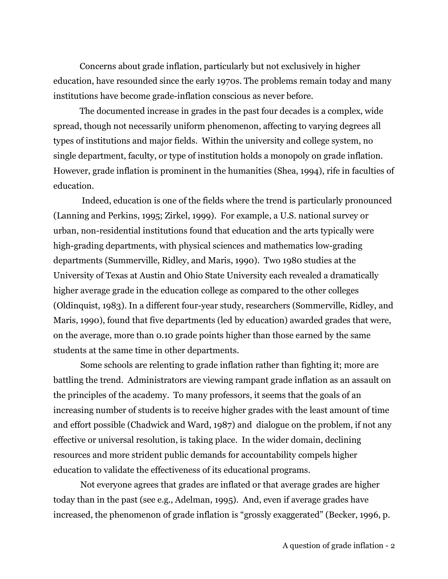Concerns about grade inflation, particularly but not exclusively in higher education, have resounded since the early 1970s. The problems remain today and many institutions have become grade-inflation conscious as never before.

The documented increase in grades in the past four decades is a complex, wide spread, though not necessarily uniform phenomenon, affecting to varying degrees all types of institutions and major fields. Within the university and college system, no single department, faculty, or type of institution holds a monopoly on grade inflation. However, grade inflation is prominent in the humanities (Shea, 1994), rife in faculties of education.

Indeed, education is one of the fields where the trend is particularly pronounced (Lanning and Perkins, 1995; Zirkel, 1999). For example, a U.S. national survey or urban, non-residential institutions found that education and the arts typically were high-grading departments, with physical sciences and mathematics low-grading departments (Summerville, Ridley, and Maris, 1990). Two 1980 studies at the University of Texas at Austin and Ohio State University each revealed a dramatically higher average grade in the education college as compared to the other colleges (Oldinquist, 1983). In a different four-year study, researchers (Sommerville, Ridley, and Maris, 1990), found that five departments (led by education) awarded grades that were, on the average, more than 0.10 grade points higher than those earned by the same students at the same time in other departments.

Some schools are relenting to grade inflation rather than fighting it; more are battling the trend. Administrators are viewing rampant grade inflation as an assault on the principles of the academy. To many professors, it seems that the goals of an increasing number of students is to receive higher grades with the least amount of time and effort possible (Chadwick and Ward, 1987) and dialogue on the problem, if not any effective or universal resolution, is taking place. In the wider domain, declining resources and more strident public demands for accountability compels higher education to validate the effectiveness of its educational programs.

Not everyone agrees that grades are inflated or that average grades are higher today than in the past (see e.g., Adelman, 1995). And, even if average grades have increased, the phenomenon of grade inflation is "grossly exaggerated" (Becker, 1996, p.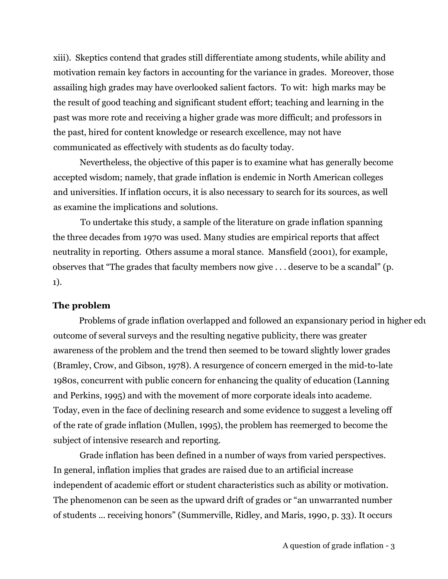xiii). Skeptics contend that grades still differentiate among students, while ability and motivation remain key factors in accounting for the variance in grades. Moreover, those assailing high grades may have overlooked salient factors. To wit: high marks may be the result of good teaching and significant student effort; teaching and learning in the past was more rote and receiving a higher grade was more difficult; and professors in the past, hired for content knowledge or research excellence, may not have communicated as effectively with students as do faculty today.

Nevertheless, the objective of this paper is to examine what has generally become accepted wisdom; namely, that grade inflation is endemic in North American colleges and universities. If inflation occurs, it is also necessary to search for its sources, as well as examine the implications and solutions.

To undertake this study, a sample of the literature on grade inflation spanning the three decades from 1970 was used. Many studies are empirical reports that affect neutrality in reporting. Others assume a moral stance. Mansfield (2001), for example, observes that "The grades that faculty members now give . . . deserve to be a scandal" (p. 1).

### **The problem**

Problems of grade inflation overlapped and followed an expansionary period in higher edu outcome of several surveys and the resulting negative publicity, there was greater awareness of the problem and the trend then seemed to be toward slightly lower grades (Bramley, Crow, and Gibson, 1978). A resurgence of concern emerged in the mid-to-late 1980s, concurrent with public concern for enhancing the quality of education (Lanning and Perkins, 1995) and with the movement of more corporate ideals into academe. Today, even in the face of declining research and some evidence to suggest a leveling off of the rate of grade inflation (Mullen, 1995), the problem has reemerged to become the subject of intensive research and reporting.

Grade inflation has been defined in a number of ways from varied perspectives. In general, inflation implies that grades are raised due to an artificial increase independent of academic effort or student characteristics such as ability or motivation. The phenomenon can be seen as the upward drift of grades or "an unwarranted number of students ... receiving honors" (Summerville, Ridley, and Maris, 1990, p. 33). It occurs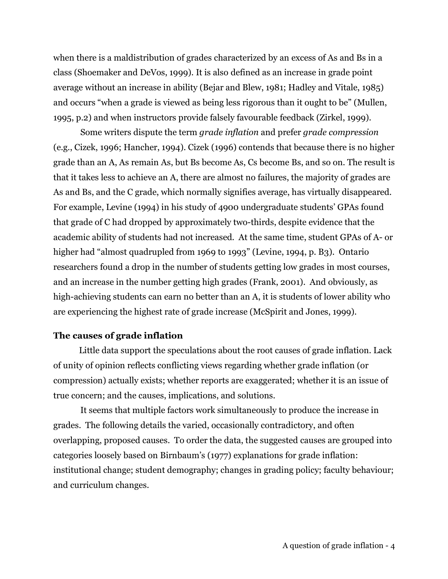when there is a maldistribution of grades characterized by an excess of As and Bs in a class (Shoemaker and DeVos, 1999). It is also defined as an increase in grade point average without an increase in ability (Bejar and Blew, 1981; Hadley and Vitale, 1985) and occurs "when a grade is viewed as being less rigorous than it ought to be" (Mullen, 1995, p.2) and when instructors provide falsely favourable feedback (Zirkel, 1999).

Some writers dispute the term *grade inflation* and prefer *grade compression* (e.g., Cizek, 1996; Hancher, 1994). Cizek (1996) contends that because there is no higher grade than an A, As remain As, but Bs become As, Cs become Bs, and so on. The result is that it takes less to achieve an A, there are almost no failures, the majority of grades are As and Bs, and the C grade, which normally signifies average, has virtually disappeared. For example, Levine (1994) in his study of 4900 undergraduate students' GPAs found that grade of C had dropped by approximately two-thirds, despite evidence that the academic ability of students had not increased. At the same time, student GPAs of A- or higher had "almost quadrupled from 1969 to 1993" (Levine, 1994, p. B3). Ontario researchers found a drop in the number of students getting low grades in most courses, and an increase in the number getting high grades (Frank, 2001). And obviously, as high-achieving students can earn no better than an A, it is students of lower ability who are experiencing the highest rate of grade increase (McSpirit and Jones, 1999).

#### **The causes of grade inflation**

Little data support the speculations about the root causes of grade inflation. Lack of unity of opinion reflects conflicting views regarding whether grade inflation (or compression) actually exists; whether reports are exaggerated; whether it is an issue of true concern; and the causes, implications, and solutions.

It seems that multiple factors work simultaneously to produce the increase in grades. The following details the varied, occasionally contradictory, and often overlapping, proposed causes. To order the data, the suggested causes are grouped into categories loosely based on Birnbaum's (1977) explanations for grade inflation: institutional change; student demography; changes in grading policy; faculty behaviour; and curriculum changes.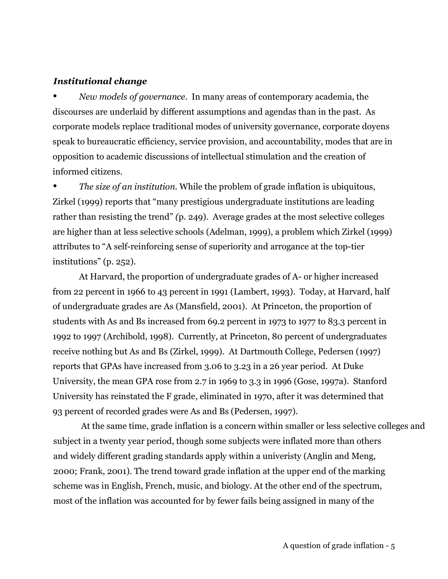#### *Institutional change*

• *New models of governance.* In many areas of contemporary academia, the discourses are underlaid by different assumptions and agendas than in the past. As corporate models replace traditional modes of university governance, corporate doyens speak to bureaucratic efficiency, service provision, and accountability, modes that are in opposition to academic discussions of intellectual stimulation and the creation of informed citizens.

• *The size of an institution*. While the problem of grade inflation is ubiquitous, Zirkel (1999) reports that "many prestigious undergraduate institutions are leading rather than resisting the trend" *(*p. 249). Average grades at the most selective colleges are higher than at less selective schools (Adelman, 1999), a problem which Zirkel (1999) attributes to "A self-reinforcing sense of superiority and arrogance at the top-tier institutions" (p. 252).

At Harvard, the proportion of undergraduate grades of A- or higher increased from 22 percent in 1966 to 43 percent in 1991 (Lambert, 1993). Today, at Harvard, half of undergraduate grades are As (Mansfield, 2001). At Princeton, the proportion of students with As and Bs increased from 69.2 percent in 1973 to 1977 to 83.3 percent in 1992 to 1997 (Archibold, 1998). Currently, at Princeton, 80 percent of undergraduates receive nothing but As and Bs (Zirkel, 1999). At Dartmouth College, Pedersen (1997) reports that GPAs have increased from 3.06 to 3.23 in a 26 year period. At Duke University, the mean GPA rose from 2.7 in 1969 to 3.3 in 1996 (Gose, 1997a). Stanford University has reinstated the F grade, eliminated in 1970, after it was determined that 93 percent of recorded grades were As and Bs (Pedersen, 1997).

At the same time, grade inflation is a concern within smaller or less selective colleges and subject in a twenty year period, though some subjects were inflated more than others and widely different grading standards apply within a univeristy (Anglin and Meng, 2000; Frank, 2001). The trend toward grade inflation at the upper end of the marking scheme was in English, French, music, and biology. At the other end of the spectrum, most of the inflation was accounted for by fewer fails being assigned in many of the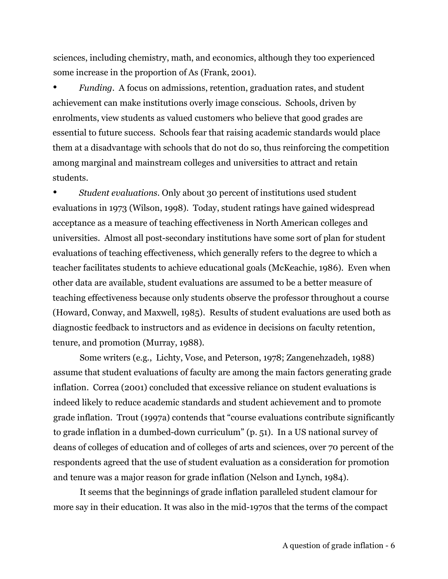sciences, including chemistry, math, and economics, although they too experienced some increase in the proportion of As (Frank, 2001).

• *Funding.* A focus on admissions, retention, graduation rates, and student achievement can make institutions overly image conscious. Schools, driven by enrolments, view students as valued customers who believe that good grades are essential to future success. Schools fear that raising academic standards would place them at a disadvantage with schools that do not do so, thus reinforcing the competition among marginal and mainstream colleges and universities to attract and retain students.

• *Student evaluations.* Only about 30 percent of institutions used student evaluations in 1973 (Wilson, 1998). Today, student ratings have gained widespread acceptance as a measure of teaching effectiveness in North American colleges and universities. Almost all post-secondary institutions have some sort of plan for student evaluations of teaching effectiveness, which generally refers to the degree to which a teacher facilitates students to achieve educational goals (McKeachie, 1986). Even when other data are available, student evaluations are assumed to be a better measure of teaching effectiveness because only students observe the professor throughout a course (Howard, Conway, and Maxwell, 1985). Results of student evaluations are used both as diagnostic feedback to instructors and as evidence in decisions on faculty retention, tenure, and promotion (Murray, 1988).

Some writers (e.g., Lichty, Vose, and Peterson, 1978; Zangenehzadeh, 1988) assume that student evaluations of faculty are among the main factors generating grade inflation. Correa (2001) concluded that excessive reliance on student evaluations is indeed likely to reduce academic standards and student achievement and to promote grade inflation. Trout (1997a) contends that "course evaluations contribute significantly to grade inflation in a dumbed-down curriculum" (p. 51). In a US national survey of deans of colleges of education and of colleges of arts and sciences, over 70 percent of the respondents agreed that the use of student evaluation as a consideration for promotion and tenure was a major reason for grade inflation (Nelson and Lynch, 1984).

It seems that the beginnings of grade inflation paralleled student clamour for more say in their education. It was also in the mid-1970s that the terms of the compact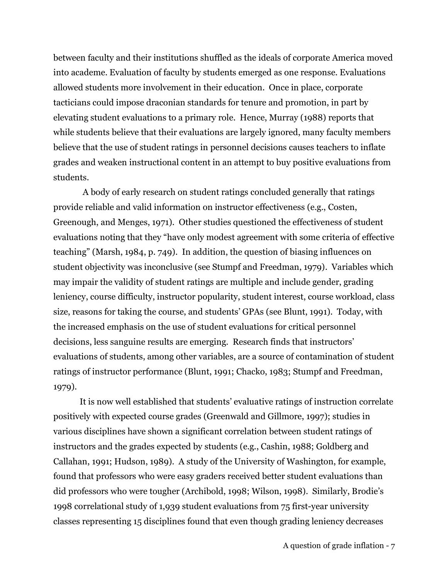between faculty and their institutions shuffled as the ideals of corporate America moved into academe. Evaluation of faculty by students emerged as one response. Evaluations allowed students more involvement in their education. Once in place, corporate tacticians could impose draconian standards for tenure and promotion, in part by elevating student evaluations to a primary role. Hence, Murray (1988) reports that while students believe that their evaluations are largely ignored, many faculty members believe that the use of student ratings in personnel decisions causes teachers to inflate grades and weaken instructional content in an attempt to buy positive evaluations from students.

A body of early research on student ratings concluded generally that ratings provide reliable and valid information on instructor effectiveness (e.g., Costen, Greenough, and Menges, 1971). Other studies questioned the effectiveness of student evaluations noting that they "have only modest agreement with some criteria of effective teaching" (Marsh, 1984, p. 749). In addition, the question of biasing influences on student objectivity was inconclusive (see Stumpf and Freedman, 1979). Variables which may impair the validity of student ratings are multiple and include gender, grading leniency, course difficulty, instructor popularity, student interest, course workload, class size, reasons for taking the course, and students' GPAs (see Blunt, 1991). Today, with the increased emphasis on the use of student evaluations for critical personnel decisions, less sanguine results are emerging. Research finds that instructors' evaluations of students, among other variables, are a source of contamination of student ratings of instructor performance (Blunt, 1991; Chacko, 1983; Stumpf and Freedman, 1979).

It is now well established that students' evaluative ratings of instruction correlate positively with expected course grades (Greenwald and Gillmore, 1997); studies in various disciplines have shown a significant correlation between student ratings of instructors and the grades expected by students (e.g., Cashin, 1988; Goldberg and Callahan, 1991; Hudson, 1989). A study of the University of Washington, for example, found that professors who were easy graders received better student evaluations than did professors who were tougher (Archibold, 1998; Wilson, 1998). Similarly, Brodie's 1998 correlational study of 1,939 student evaluations from 75 first-year university classes representing 15 disciplines found that even though grading leniency decreases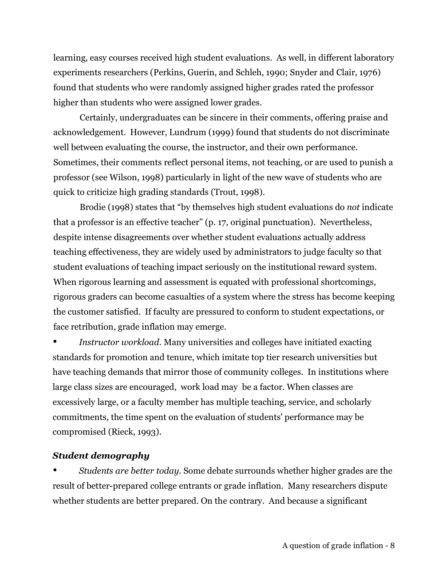learning, easy courses received high student evaluations. As well, in different laboratory experiments researchers (Perkins, Guerin, and Schleh, 1990; Snyder and Clair, 1976) found that students who were randomly assigned higher grades rated the professor higher than students who were assigned lower grades.

Certainly, undergraduates can be sincere in their comments, offering praise and acknowledgement. However, Lundrum (1999) found that students do not discriminate well between evaluating the course, the instructor, and their own performance. Sometimes, their comments reflect personal items, not teaching, or are used to punish a professor (see Wilson, 1998) particularly in light of the new wave of students who are quick to criticize high grading standards (Trout, 1998).

Brodie (1998) states that "by themselves high student evaluations do *not* indicate that a professor is an effective teacher" (p. 17, original punctuation). Nevertheless, despite intense disagreements over whether student evaluations actually address teaching effectiveness, they are widely used by administrators to judge faculty so that student evaluations of teaching impact seriously on the institutional reward system. When rigorous learning and assessment is equated with professional shortcomings, rigorous graders can become casualties of a system where the stress has become keeping the customer satisfied. If faculty are pressured to conform to student expectations, or face retribution, grade inflation may emerge.

• *Instructor workload.* Many universities and colleges have initiated exacting standards for promotion and tenure, which imitate top tier research universities but have teaching demands that mirror those of community colleges. In institutions where large class sizes are encouraged, work load may be a factor. When classes are excessively large, or a faculty member has multiple teaching, service, and scholarly commitments, the time spent on the evaluation of students' performance may be compromised (Rieck, 1993).

# *Student demography*

• *Students are better today.* Some debate surrounds whether higher grades are the result of better-prepared college entrants or grade inflation. Many researchers dispute whether students are better prepared. On the contrary. And because a significant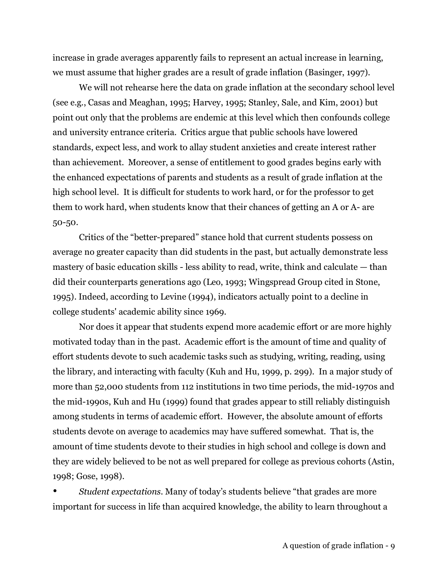increase in grade averages apparently fails to represent an actual increase in learning, we must assume that higher grades are a result of grade inflation (Basinger, 1997).

We will not rehearse here the data on grade inflation at the secondary school level (see e.g., Casas and Meaghan, 1995; Harvey, 1995; Stanley, Sale, and Kim, 2001) but point out only that the problems are endemic at this level which then confounds college and university entrance criteria. Critics argue that public schools have lowered standards, expect less, and work to allay student anxieties and create interest rather than achievement. Moreover, a sense of entitlement to good grades begins early with the enhanced expectations of parents and students as a result of grade inflation at the high school level. It is difficult for students to work hard, or for the professor to get them to work hard, when students know that their chances of getting an A or A- are 50-50.

Critics of the "better-prepared" stance hold that current students possess on average no greater capacity than did students in the past, but actually demonstrate less mastery of basic education skills - less ability to read, write, think and calculate — than did their counterparts generations ago (Leo, 1993; Wingspread Group cited in Stone, 1995). Indeed, according to Levine (1994), indicators actually point to a decline in college students' academic ability since 1969.

Nor does it appear that students expend more academic effort or are more highly motivated today than in the past. Academic effort is the amount of time and quality of effort students devote to such academic tasks such as studying, writing, reading, using the library, and interacting with faculty (Kuh and Hu, 1999, p. 299). In a major study of more than 52,000 students from 112 institutions in two time periods, the mid-1970s and the mid-1990s, Kuh and Hu (1999) found that grades appear to still reliably distinguish among students in terms of academic effort. However, the absolute amount of efforts students devote on average to academics may have suffered somewhat. That is, the amount of time students devote to their studies in high school and college is down and they are widely believed to be not as well prepared for college as previous cohorts (Astin, 1998; Gose, 1998).

• *Student expectations.* Many of today's students believe "that grades are more important for success in life than acquired knowledge, the ability to learn throughout a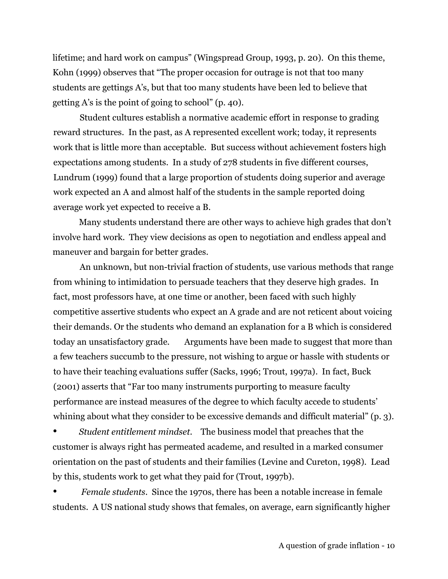lifetime; and hard work on campus" (Wingspread Group, 1993, p. 20). On this theme, Kohn (1999) observes that "The proper occasion for outrage is not that too many students are gettings A's, but that too many students have been led to believe that getting A's is the point of going to school" (p. 40).

Student cultures establish a normative academic effort in response to grading reward structures. In the past, as A represented excellent work; today, it represents work that is little more than acceptable. But success without achievement fosters high expectations among students. In a study of 278 students in five different courses, Lundrum (1999) found that a large proportion of students doing superior and average work expected an A and almost half of the students in the sample reported doing average work yet expected to receive a B.

Many students understand there are other ways to achieve high grades that don't involve hard work. They view decisions as open to negotiation and endless appeal and maneuver and bargain for better grades.

An unknown, but non-trivial fraction of students, use various methods that range from whining to intimidation to persuade teachers that they deserve high grades. In fact, most professors have, at one time or another, been faced with such highly competitive assertive students who expect an A grade and are not reticent about voicing their demands. Or the students who demand an explanation for a B which is considered today an unsatisfactory grade. Arguments have been made to suggest that more than a few teachers succumb to the pressure, not wishing to argue or hassle with students or to have their teaching evaluations suffer (Sacks, 1996; Trout, 1997a). In fact, Buck (2001) asserts that "Far too many instruments purporting to measure faculty performance are instead measures of the degree to which faculty accede to students' whining about what they consider to be excessive demands and difficult material" (p. 3).

• *Student entitlement mindset*. The business model that preaches that the customer is always right has permeated academe, and resulted in a marked consumer orientation on the past of students and their families (Levine and Cureton, 1998). Lead by this, students work to get what they paid for (Trout, 1997b).

• *Female students*. Since the 1970s, there has been a notable increase in female students. A US national study shows that females, on average, earn significantly higher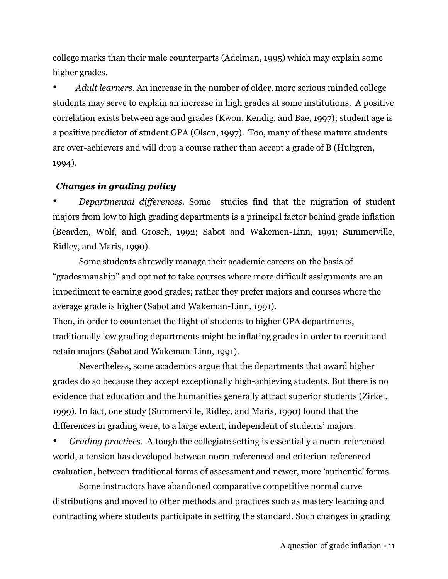college marks than their male counterparts (Adelman, 1995) which may explain some higher grades.

• *Adult learners.* An increase in the number of older, more serious minded college students may serve to explain an increase in high grades at some institutions. A positive correlation exists between age and grades (Kwon, Kendig, and Bae, 1997); student age is a positive predictor of student GPA (Olsen, 1997). Too, many of these mature students are over-achievers and will drop a course rather than accept a grade of B (Hultgren, 1994).

# *Changes in grading policy*

• *Departmental differences.* Some studies find that the migration of student majors from low to high grading departments is a principal factor behind grade inflation (Bearden, Wolf, and Grosch, 1992; Sabot and Wakemen-Linn, 1991; Summerville, Ridley, and Maris, 1990).

Some students shrewdly manage their academic careers on the basis of "gradesmanship" and opt not to take courses where more difficult assignments are an impediment to earning good grades; rather they prefer majors and courses where the average grade is higher (Sabot and Wakeman-Linn, 1991).

Then, in order to counteract the flight of students to higher GPA departments, traditionally low grading departments might be inflating grades in order to recruit and retain majors (Sabot and Wakeman-Linn, 1991).

Nevertheless, some academics argue that the departments that award higher grades do so because they accept exceptionally high-achieving students. But there is no evidence that education and the humanities generally attract superior students (Zirkel, 1999). In fact, one study (Summerville, Ridley, and Maris, 1990) found that the differences in grading were, to a large extent, independent of students' majors.

• *Grading practices.* Altough the collegiate setting is essentially a norm-referenced world, a tension has developed between norm-referenced and criterion-referenced evaluation, between traditional forms of assessment and newer, more 'authentic' forms.

Some instructors have abandoned comparative competitive normal curve distributions and moved to other methods and practices such as mastery learning and contracting where students participate in setting the standard. Such changes in grading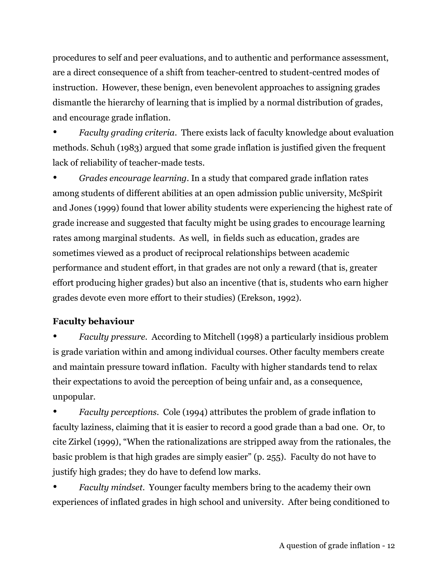procedures to self and peer evaluations, and to authentic and performance assessment, are a direct consequence of a shift from teacher-centred to student-centred modes of instruction. However, these benign, even benevolent approaches to assigning grades dismantle the hierarchy of learning that is implied by a normal distribution of grades, and encourage grade inflation.

• *Faculty grading criteria*. There exists lack of faculty knowledge about evaluation methods. Schuh (1983) argued that some grade inflation is justified given the frequent lack of reliability of teacher-made tests.

• *Grades encourage learning.* In a study that compared grade inflation rates among students of different abilities at an open admission public university, McSpirit and Jones (1999) found that lower ability students were experiencing the highest rate of grade increase and suggested that faculty might be using grades to encourage learning rates among marginal students. As well, in fields such as education, grades are sometimes viewed as a product of reciprocal relationships between academic performance and student effort, in that grades are not only a reward (that is, greater effort producing higher grades) but also an incentive (that is, students who earn higher grades devote even more effort to their studies) (Erekson, 1992).

# **Faculty behaviour**

• *Faculty pressure.* According to Mitchell (1998) a particularly insidious problem is grade variation within and among individual courses. Other faculty members create and maintain pressure toward inflation. Faculty with higher standards tend to relax their expectations to avoid the perception of being unfair and, as a consequence, unpopular.

• *Faculty perceptions.* Cole (1994) attributes the problem of grade inflation to faculty laziness, claiming that it is easier to record a good grade than a bad one. Or, to cite Zirkel (1999), "When the rationalizations are stripped away from the rationales, the basic problem is that high grades are simply easier" (p. 255). Faculty do not have to justify high grades; they do have to defend low marks.

• *Faculty mindset*. Younger faculty members bring to the academy their own experiences of inflated grades in high school and university. After being conditioned to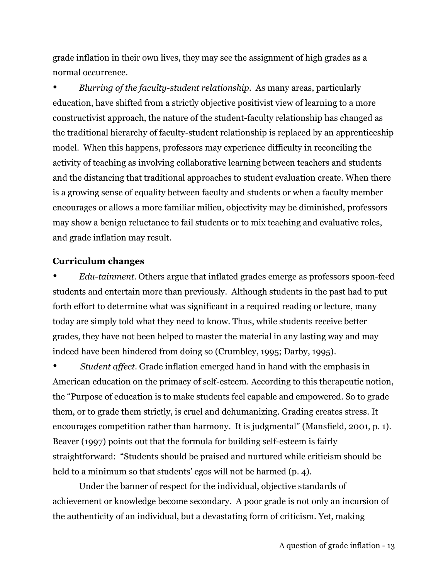grade inflation in their own lives, they may see the assignment of high grades as a normal occurrence.

• *Blurring of the faculty-student relationship.* As many areas, particularly education, have shifted from a strictly objective positivist view of learning to a more constructivist approach, the nature of the student-faculty relationship has changed as the traditional hierarchy of faculty-student relationship is replaced by an apprenticeship model. When this happens, professors may experience difficulty in reconciling the activity of teaching as involving collaborative learning between teachers and students and the distancing that traditional approaches to student evaluation create. When there is a growing sense of equality between faculty and students or when a faculty member encourages or allows a more familiar milieu, objectivity may be diminished, professors may show a benign reluctance to fail students or to mix teaching and evaluative roles, and grade inflation may result.

## **Curriculum changes**

• *Edu-tainment.* Others argue that inflated grades emerge as professors spoon-feed students and entertain more than previously. Although students in the past had to put forth effort to determine what was significant in a required reading or lecture, many today are simply told what they need to know. Thus, while students receive better grades, they have not been helped to master the material in any lasting way and may indeed have been hindered from doing so (Crumbley, 1995; Darby, 1995).

• *Student affect*. Grade inflation emerged hand in hand with the emphasis in American education on the primacy of self-esteem. According to this therapeutic notion, the "Purpose of education is to make students feel capable and empowered. So to grade them, or to grade them strictly, is cruel and dehumanizing. Grading creates stress. It encourages competition rather than harmony. It is judgmental" (Mansfield, 2001, p. 1). Beaver (1997) points out that the formula for building self-esteem is fairly straightforward: "Students should be praised and nurtured while criticism should be held to a minimum so that students' egos will not be harmed (p. 4).

Under the banner of respect for the individual, objective standards of achievement or knowledge become secondary. A poor grade is not only an incursion of the authenticity of an individual, but a devastating form of criticism. Yet, making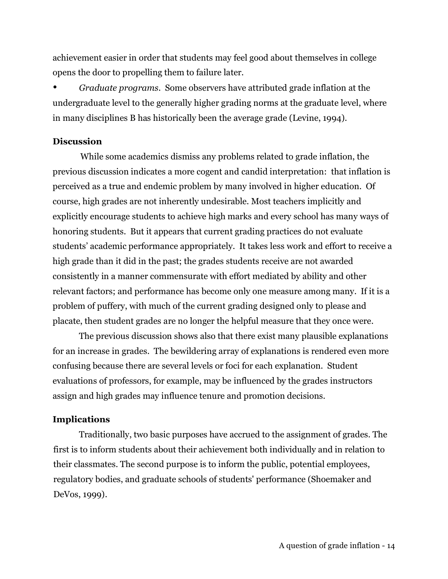achievement easier in order that students may feel good about themselves in college opens the door to propelling them to failure later.

• *Graduate programs*. Some observers have attributed grade inflation at the undergraduate level to the generally higher grading norms at the graduate level, where in many disciplines B has historically been the average grade (Levine, 1994).

## **Discussion**

While some academics dismiss any problems related to grade inflation, the previous discussion indicates a more cogent and candid interpretation: that inflation is perceived as a true and endemic problem by many involved in higher education. Of course, high grades are not inherently undesirable. Most teachers implicitly and explicitly encourage students to achieve high marks and every school has many ways of honoring students. But it appears that current grading practices do not evaluate students' academic performance appropriately. It takes less work and effort to receive a high grade than it did in the past; the grades students receive are not awarded consistently in a manner commensurate with effort mediated by ability and other relevant factors; and performance has become only one measure among many. If it is a problem of puffery, with much of the current grading designed only to please and placate, then student grades are no longer the helpful measure that they once were.

The previous discussion shows also that there exist many plausible explanations for an increase in grades. The bewildering array of explanations is rendered even more confusing because there are several levels or foci for each explanation. Student evaluations of professors, for example, may be influenced by the grades instructors assign and high grades may influence tenure and promotion decisions.

### **Implications**

Traditionally, two basic purposes have accrued to the assignment of grades. The first is to inform students about their achievement both individually and in relation to their classmates. The second purpose is to inform the public, potential employees, regulatory bodies, and graduate schools of students' performance (Shoemaker and DeVos, 1999).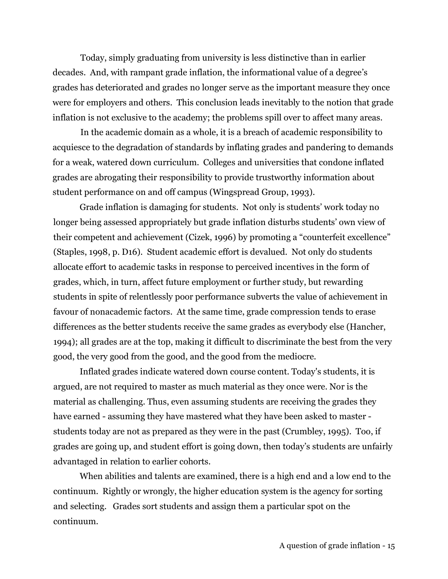Today, simply graduating from university is less distinctive than in earlier decades. And, with rampant grade inflation, the informational value of a degree's grades has deteriorated and grades no longer serve as the important measure they once were for employers and others. This conclusion leads inevitably to the notion that grade inflation is not exclusive to the academy; the problems spill over to affect many areas.

In the academic domain as a whole, it is a breach of academic responsibility to acquiesce to the degradation of standards by inflating grades and pandering to demands for a weak, watered down curriculum. Colleges and universities that condone inflated grades are abrogating their responsibility to provide trustworthy information about student performance on and off campus (Wingspread Group, 1993).

Grade inflation is damaging for students. Not only is students' work today no longer being assessed appropriately but grade inflation disturbs students' own view of their competent and achievement (Cizek, 1996) by promoting a "counterfeit excellence" (Staples, 1998, p. D16). Student academic effort is devalued. Not only do students allocate effort to academic tasks in response to perceived incentives in the form of grades, which, in turn, affect future employment or further study, but rewarding students in spite of relentlessly poor performance subverts the value of achievement in favour of nonacademic factors. At the same time, grade compression tends to erase differences as the better students receive the same grades as everybody else (Hancher, 1994); all grades are at the top, making it difficult to discriminate the best from the very good, the very good from the good, and the good from the mediocre.

Inflated grades indicate watered down course content. Today's students, it is argued, are not required to master as much material as they once were. Nor is the material as challenging. Thus, even assuming students are receiving the grades they have earned - assuming they have mastered what they have been asked to master students today are not as prepared as they were in the past (Crumbley, 1995). Too, if grades are going up, and student effort is going down, then today's students are unfairly advantaged in relation to earlier cohorts.

When abilities and talents are examined, there is a high end and a low end to the continuum. Rightly or wrongly, the higher education system is the agency for sorting and selecting. Grades sort students and assign them a particular spot on the continuum.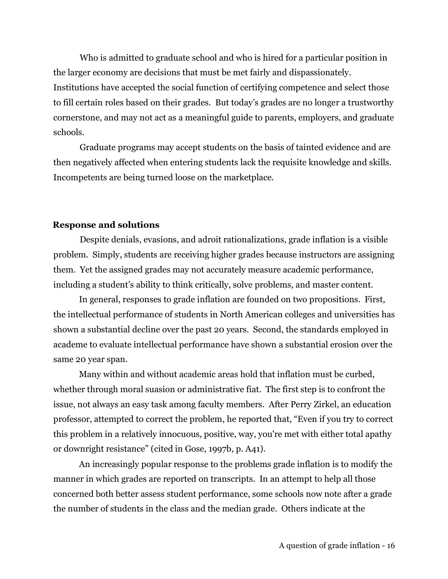Who is admitted to graduate school and who is hired for a particular position in the larger economy are decisions that must be met fairly and dispassionately. Institutions have accepted the social function of certifying competence and select those to fill certain roles based on their grades. But today's grades are no longer a trustworthy cornerstone, and may not act as a meaningful guide to parents, employers, and graduate schools.

Graduate programs may accept students on the basis of tainted evidence and are then negatively affected when entering students lack the requisite knowledge and skills. Incompetents are being turned loose on the marketplace.

#### **Response and solutions**

Despite denials, evasions, and adroit rationalizations, grade inflation is a visible problem. Simply, students are receiving higher grades because instructors are assigning them. Yet the assigned grades may not accurately measure academic performance, including a student's ability to think critically, solve problems, and master content.

In general, responses to grade inflation are founded on two propositions. First, the intellectual performance of students in North American colleges and universities has shown a substantial decline over the past 20 years. Second, the standards employed in academe to evaluate intellectual performance have shown a substantial erosion over the same 20 year span.

Many within and without academic areas hold that inflation must be curbed, whether through moral suasion or administrative fiat. The first step is to confront the issue, not always an easy task among faculty members. After Perry Zirkel, an education professor, attempted to correct the problem, he reported that, "Even if you try to correct this problem in a relatively innocuous, positive, way, you're met with either total apathy or downright resistance" (cited in Gose, 1997b, p. A41).

An increasingly popular response to the problems grade inflation is to modify the manner in which grades are reported on transcripts. In an attempt to help all those concerned both better assess student performance, some schools now note after a grade the number of students in the class and the median grade. Others indicate at the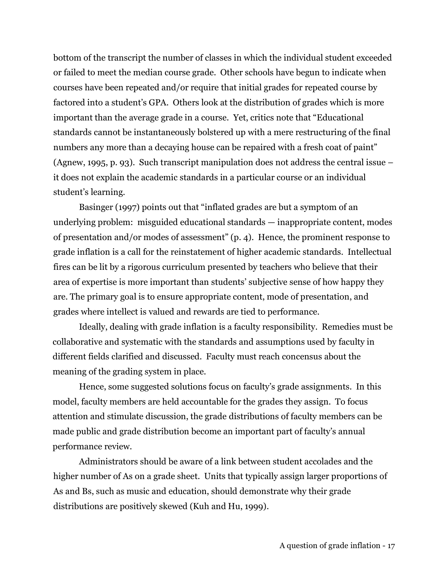bottom of the transcript the number of classes in which the individual student exceeded or failed to meet the median course grade. Other schools have begun to indicate when courses have been repeated and/or require that initial grades for repeated course by factored into a student's GPA. Others look at the distribution of grades which is more important than the average grade in a course. Yet, critics note that "Educational standards cannot be instantaneously bolstered up with a mere restructuring of the final numbers any more than a decaying house can be repaired with a fresh coat of paint" (Agnew, 1995, p. 93). Such transcript manipulation does not address the central issue – it does not explain the academic standards in a particular course or an individual student's learning.

Basinger (1997) points out that "inflated grades are but a symptom of an underlying problem: misguided educational standards — inappropriate content, modes of presentation and/or modes of assessment" (p. 4). Hence, the prominent response to grade inflation is a call for the reinstatement of higher academic standards. Intellectual fires can be lit by a rigorous curriculum presented by teachers who believe that their area of expertise is more important than students' subjective sense of how happy they are. The primary goal is to ensure appropriate content, mode of presentation, and grades where intellect is valued and rewards are tied to performance.

Ideally, dealing with grade inflation is a faculty responsibility. Remedies must be collaborative and systematic with the standards and assumptions used by faculty in different fields clarified and discussed. Faculty must reach concensus about the meaning of the grading system in place.

Hence, some suggested solutions focus on faculty's grade assignments. In this model, faculty members are held accountable for the grades they assign. To focus attention and stimulate discussion, the grade distributions of faculty members can be made public and grade distribution become an important part of faculty's annual performance review.

Administrators should be aware of a link between student accolades and the higher number of As on a grade sheet. Units that typically assign larger proportions of As and Bs, such as music and education, should demonstrate why their grade distributions are positively skewed (Kuh and Hu, 1999).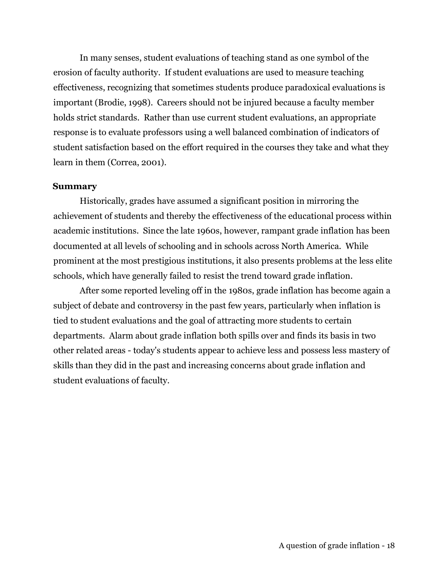In many senses, student evaluations of teaching stand as one symbol of the erosion of faculty authority. If student evaluations are used to measure teaching effectiveness, recognizing that sometimes students produce paradoxical evaluations is important (Brodie, 1998). Careers should not be injured because a faculty member holds strict standards. Rather than use current student evaluations, an appropriate response is to evaluate professors using a well balanced combination of indicators of student satisfaction based on the effort required in the courses they take and what they learn in them (Correa, 2001).

#### **Summary**

Historically, grades have assumed a significant position in mirroring the achievement of students and thereby the effectiveness of the educational process within academic institutions. Since the late 1960s, however, rampant grade inflation has been documented at all levels of schooling and in schools across North America. While prominent at the most prestigious institutions, it also presents problems at the less elite schools, which have generally failed to resist the trend toward grade inflation.

After some reported leveling off in the 1980s, grade inflation has become again a subject of debate and controversy in the past few years, particularly when inflation is tied to student evaluations and the goal of attracting more students to certain departments. Alarm about grade inflation both spills over and finds its basis in two other related areas - today's students appear to achieve less and possess less mastery of skills than they did in the past and increasing concerns about grade inflation and student evaluations of faculty.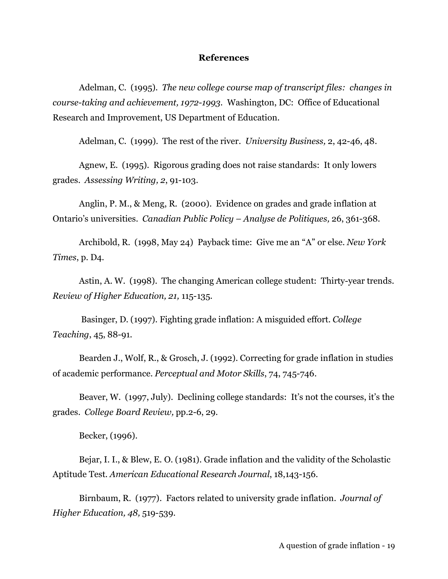### **References**

Adelman, C. (1995). *The new college course map of transcript files: changes in course-taking and achievement, 1972-1993.* Washington, DC: Office of Educational Research and Improvement, US Department of Education.

Adelman, C. (1999). The rest of the river. *University Business,* 2, 42-46, 48.

Agnew, E. (1995). Rigorous grading does not raise standards: It only lowers grades. *Assessing Writing, 2*, 91-103.

Anglin, P. M., & Meng, R. (2000). Evidence on grades and grade inflation at Ontario's universities. *Canadian Public Policy – Analyse de Politiques,* 26, 361-368.

Archibold, R. (1998, May 24) Payback time: Give me an "A" or else. *New York Times*, p. D4.

Astin, A. W. (1998). The changing American college student: Thirty-year trends. *Review of Higher Education, 21,* 115-135.

Basinger, D. (1997). Fighting grade inflation: A misguided effort. *College Teaching*, 45, 88-91.

Bearden J., Wolf, R., & Grosch, J. (1992). Correcting for grade inflation in studies of academic performance. *Perceptual and Motor Skills*, 74, 745-746.

Beaver, W. (1997, July). Declining college standards: It's not the courses, it's the grades. *College Board Review,* pp.2-6, 29.

Becker, (1996).

Bejar, I. I., & Blew, E. O. (1981). Grade inflation and the validity of the Scholastic Aptitude Test. *American Educational Research Journal*, 18,143-156.

Birnbaum, R. (1977). Factors related to university grade inflation. *Journal of Higher Education, 48,* 519-539.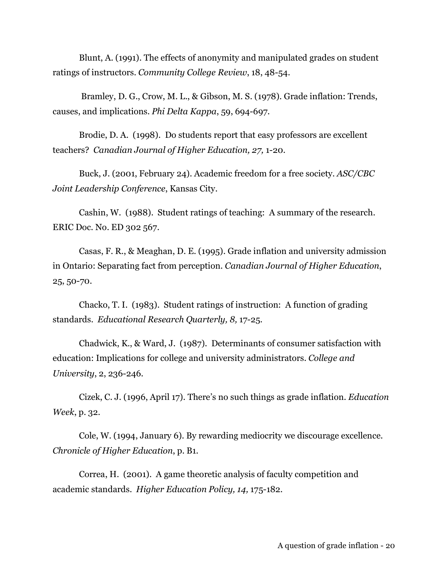Blunt, A. (1991). The effects of anonymity and manipulated grades on student ratings of instructors. *Community College Review*, 18, 48-54.

Bramley, D. G., Crow, M. L., & Gibson, M. S. (1978). Grade inflation: Trends, causes, and implications. *Phi Delta Kappa*, 59, 694-697.

Brodie, D. A. (1998). Do students report that easy professors are excellent teachers? *Canadian Journal of Higher Education, 27,* 1-20.

Buck, J. (2001, February 24). Academic freedom for a free society. *ASC/CBC Joint Leadership Conference*, Kansas City.

Cashin, W. (1988). Student ratings of teaching: A summary of the research. ERIC Doc. No. ED 302 567.

Casas, F. R., & Meaghan, D. E. (1995). Grade inflation and university admission in Ontario: Separating fact from perception. *Canadian Journal of Higher Education*, 25, 50-70.

Chacko, T. I. (1983). Student ratings of instruction: A function of grading standards. *Educational Research Quarterly, 8,* 17-25.

Chadwick, K., & Ward, J. (1987). Determinants of consumer satisfaction with education: Implications for college and university administrators. *College and University*, 2, 236-246.

Cizek, C. J. (1996, April 17). There's no such things as grade inflation. *Education Week*, p. 32.

Cole, W. (1994, January 6). By rewarding mediocrity we discourage excellence. *Chronicle of Higher Education*, p. B1.

Correa, H. (2001). A game theoretic analysis of faculty competition and academic standards. *Higher Education Policy, 14,* 175-182.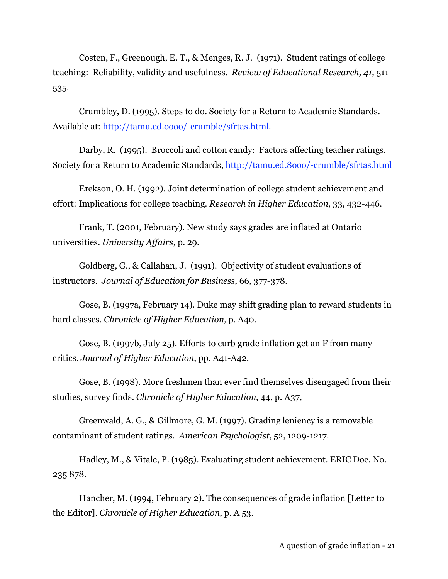Costen, F., Greenough, E. T., & Menges, R. J. (1971). Student ratings of college teaching: Reliability, validity and usefulness. *Review of Educational Research, 41,* 511- 535.

Crumbley, D. (1995). Steps to do. Society for a Return to Academic Standards. Available at: http://tamu.ed.oooo/-crumble/sfrtas.html.

Darby, R. (1995). Broccoli and cotton candy: Factors affecting teacher ratings. Society for a Return to Academic Standards, http://tamu.ed.8ooo/-crumble/sfrtas.html

Erekson, O. H. (1992). Joint determination of college student achievement and effort: Implications for college teaching. *Research in Higher Education*, 33, 432-446.

Frank, T. (2001, February). New study says grades are inflated at Ontario universities. *University Affairs*, p. 29.

Goldberg, G., & Callahan, J. (1991). Objectivity of student evaluations of instructors. *Journal of Education for Business*, 66, 377-378.

Gose, B. (1997a, February 14). Duke may shift grading plan to reward students in hard classes. *Chronicle of Higher Education*, p. A40.

Gose, B. (1997b, July 25). Efforts to curb grade inflation get an F from many critics. *Journal of Higher Education*, pp. A41-A42.

Gose, B. (1998). More freshmen than ever find themselves disengaged from their studies, survey finds. *Chronicle of Higher Education*, 44, p. A37,

Greenwald, A. G., & Gillmore, G. M. (1997). Grading leniency is a removable contaminant of student ratings. *American Psychologist*, 52, 1209-1217.

Hadley, M., & Vitale, P. (1985). Evaluating student achievement. ERIC Doc. No. 235 878.

Hancher, M. (1994, February 2). The consequences of grade inflation [Letter to the Editor]. *Chronicle of Higher Education*, p. A 53.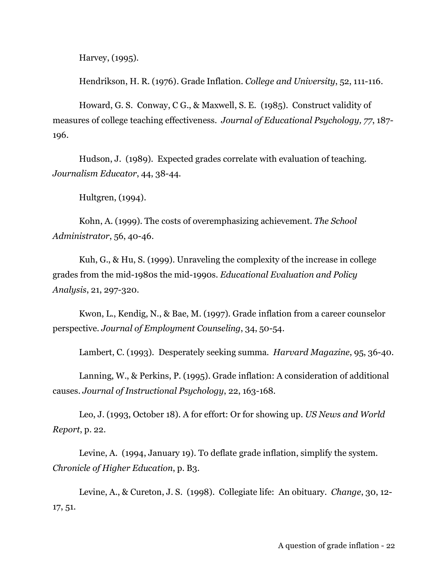Harvey, (1995).

Hendrikson, H. R. (1976). Grade Inflation. *College and University*, 52, 111-116.

Howard, G. S. Conway, C G., & Maxwell, S. E. (1985). Construct validity of measures of college teaching effectiveness. *Journal of Educational Psychology, 77*, 187- 196.

Hudson, J. (1989). Expected grades correlate with evaluation of teaching. *Journalism Educator*, 44, 38-44.

Hultgren, (1994).

Kohn, A. (1999). The costs of overemphasizing achievement. *The School Administrator*, 56, 40-46.

Kuh, G., & Hu, S. (1999). Unraveling the complexity of the increase in college grades from the mid-1980s the mid-1990s. *Educational Evaluation and Policy Analysis*, 21, 297-320.

Kwon, L., Kendig, N., & Bae, M. (1997). Grade inflation from a career counselor perspective. *Journal of Employment Counseling*, 34, 50-54.

Lambert, C. (1993). Desperately seeking summa. *Harvard Magazine*, 95, 36-40.

Lanning, W., & Perkins, P. (1995). Grade inflation: A consideration of additional causes. *Journal of Instructional Psychology*, 22, 163-168.

Leo, J. (1993, October 18). A for effort: Or for showing up. *US News and World Report*, p. 22.

Levine, A. (1994, January 19). To deflate grade inflation, simplify the system. *Chronicle of Higher Education*, p. B3.

Levine, A., & Cureton, J. S. (1998). Collegiate life: An obituary. *Change*, 30, 12- 17, 51.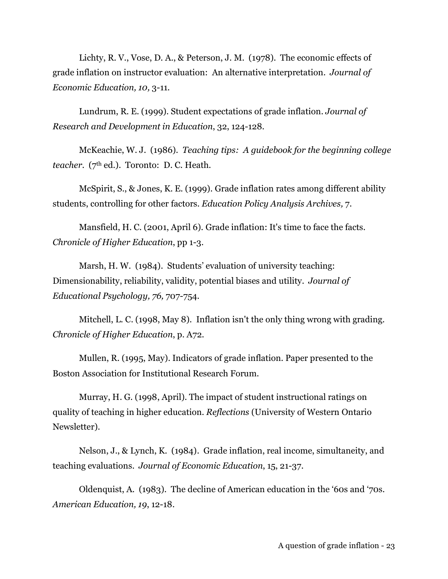Lichty, R. V., Vose, D. A., & Peterson, J. M. (1978). The economic effects of grade inflation on instructor evaluation: An alternative interpretation. *Journal of Economic Education, 10,* 3-11.

Lundrum, R. E. (1999). Student expectations of grade inflation. *Journal of Research and Development in Education*, 32, 124-128.

McKeachie, W. J. (1986). *Teaching tips: A guidebook for the beginning college teacher.* (7<sup>th</sup> ed.). Toronto: D. C. Heath.

McSpirit, S., & Jones, K. E. (1999). Grade inflation rates among different ability students, controlling for other factors. *Education Policy Analysis Archives,* 7.

Mansfield, H. C. (2001, April 6). Grade inflation: It's time to face the facts. *Chronicle of Higher Education*, pp 1-3.

Marsh, H. W. (1984). Students' evaluation of university teaching: Dimensionability, reliability, validity, potential biases and utility. *Journal of Educational Psychology, 76,* 707-754.

Mitchell, L. C. (1998, May 8). Inflation isn't the only thing wrong with grading. *Chronicle of Higher Education*, p. A72.

Mullen, R. (1995, May). Indicators of grade inflation. Paper presented to the Boston Association for Institutional Research Forum.

Murray, H. G. (1998, April). The impact of student instructional ratings on quality of teaching in higher education. *Reflections* (University of Western Ontario Newsletter).

Nelson, J., & Lynch, K. (1984). Grade inflation, real income, simultaneity, and teaching evaluations. *Journal of Economic Education*, 15, 21-37.

Oldenquist, A. (1983). The decline of American education in the '60s and '70s. *American Education, 19*, 12-18.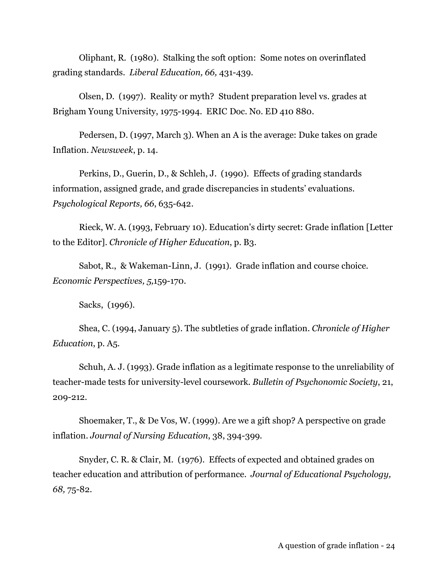Oliphant, R. (1980). Stalking the soft option: Some notes on overinflated grading standards. *Liberal Education, 66,* 431-439.

Olsen, D. (1997). Reality or myth? Student preparation level vs. grades at Brigham Young University, 1975-1994. ERIC Doc. No. ED 410 880.

Pedersen, D. (1997, March 3). When an A is the average: Duke takes on grade Inflation. *Newsweek*, p. 14.

Perkins, D., Guerin, D., & Schleh, J. (1990). Effects of grading standards information, assigned grade, and grade discrepancies in students' evaluations. *Psychological Reports, 66*, 635-642.

Rieck, W. A. (1993, February 10). Education's dirty secret: Grade inflation [Letter to the Editor]. *Chronicle of Higher Education*, p. B3.

Sabot, R., & Wakeman-Linn, J. (1991). Grade inflation and course choice. *Economic Perspectives, 5,*159-170.

Sacks, (1996).

Shea, C. (1994, January 5). The subtleties of grade inflation. *Chronicle of Higher Education*, p. A5.

Schuh, A. J. (1993). Grade inflation as a legitimate response to the unreliability of teacher-made tests for university-level coursework. *Bulletin of Psychonomic Society*, 21, 209-212.

Shoemaker, T., & De Vos, W. (1999). Are we a gift shop? A perspective on grade inflation. *Journal of Nursing Education*, 38, 394-399.

Snyder, C. R. & Clair, M. (1976). Effects of expected and obtained grades on teacher education and attribution of performance. *Journal of Educational Psychology, 68,* 75-82.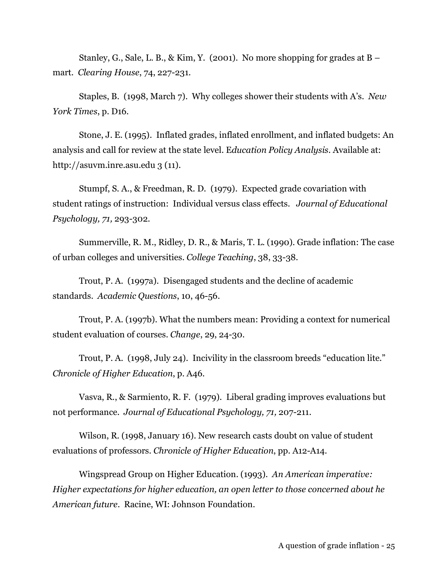Stanley, G., Sale, L. B., & Kim, Y. (2001). No more shopping for grades at  $B$ mart. *Clearing House*, 74, 227-231.

Staples, B. (1998, March 7). Why colleges shower their students with A's. *New York Times*, p. D16.

Stone, J. E. (1995). Inflated grades, inflated enrollment, and inflated budgets: An analysis and call for review at the state level. E*ducation Policy Analysis*. Available at: http://asuvm.inre.asu.edu 3 (11).

Stumpf, S. A., & Freedman, R. D. (1979). Expected grade covariation with student ratings of instruction: Individual versus class effects. *Journal of Educational Psychology, 71,* 293-302.

Summerville, R. M., Ridley, D. R., & Maris, T. L. (1990). Grade inflation: The case of urban colleges and universities. *College Teaching*, 38, 33-38.

Trout, P. A. (1997a). Disengaged students and the decline of academic standards. *Academic Questions*, 10, 46-56.

Trout, P. A. (1997b). What the numbers mean: Providing a context for numerical student evaluation of courses. *Change*, 29, 24-30.

Trout, P. A. (1998, July 24). Incivility in the classroom breeds "education lite." *Chronicle of Higher Education*, p. A46.

Vasva, R., & Sarmiento, R. F. (1979). Liberal grading improves evaluations but not performance. *Journal of Educational Psychology, 71,* 207-211.

Wilson, R. (1998, January 16). New research casts doubt on value of student evaluations of professors. *Chronicle of Higher Education*, pp. A12-A14.

Wingspread Group on Higher Education. (1993). *An American imperative: Higher expectations for higher education, an open letter to those concerned about he American future*. Racine, WI: Johnson Foundation.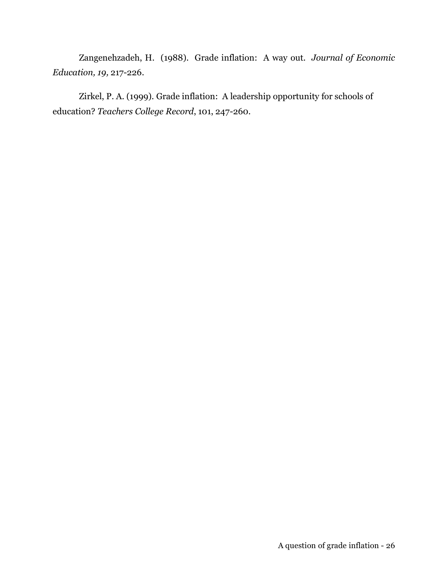Zangenehzadeh, H. (1988). Grade inflation: A way out. *Journal of Economic Education, 19,* 217-226.

Zirkel, P. A. (1999). Grade inflation: A leadership opportunity for schools of education? *Teachers College Record*, 101, 247-260.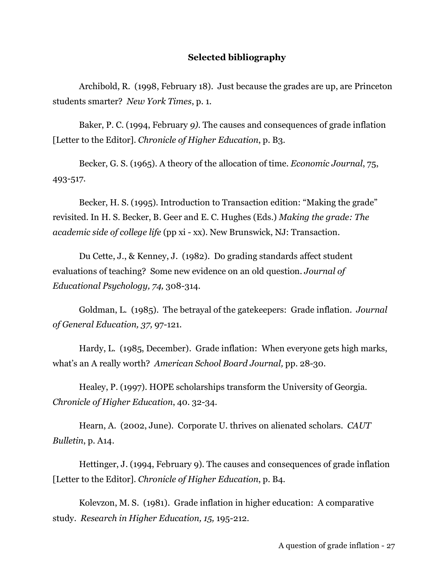#### **Selected bibliography**

Archibold, R. (1998, February 18). Just because the grades are up, are Princeton students smarter? *New York Times*, p. 1.

Baker, P. C. (1994, February *9).* The causes and consequences of grade inflation [Letter to the Editor]. *Chronicle of Higher Education*, p. B3.

Becker, G. S. (1965). A theory of the allocation of time. *Economic Journal*, 75, 493-517.

Becker, H. S. (1995). Introduction to Transaction edition: "Making the grade" revisited. In H. S. Becker, B. Geer and E. C. Hughes (Eds.) *Making the grade: The academic side of college life* (pp xi - xx). New Brunswick, NJ: Transaction.

Du Cette, J., & Kenney, J. (1982). Do grading standards affect student evaluations of teaching? Some new evidence on an old question. *Journal of Educational Psychology, 74,* 308-314.

Goldman, L. (1985). The betrayal of the gatekeepers: Grade inflation. *Journal of General Education, 37,* 97-121.

Hardy, L. (1985, December). Grade inflation: When everyone gets high marks, what's an A really worth? *American School Board Journal,* pp. 28-30.

Healey, P. (1997). HOPE scholarships transform the University of Georgia. *Chronicle of Higher Education*, 40. 32-34.

Hearn, A. (2002, June). Corporate U. thrives on alienated scholars. *CAUT Bulletin*, p. A14.

Hettinger, J. (1994, February 9). The causes and consequences of grade inflation [Letter to the Editor]*. Chronicle of Higher Education*, p. B4.

Kolevzon, M. S. (1981). Grade inflation in higher education: A comparative study. *Research in Higher Education, 15,* 195-212.